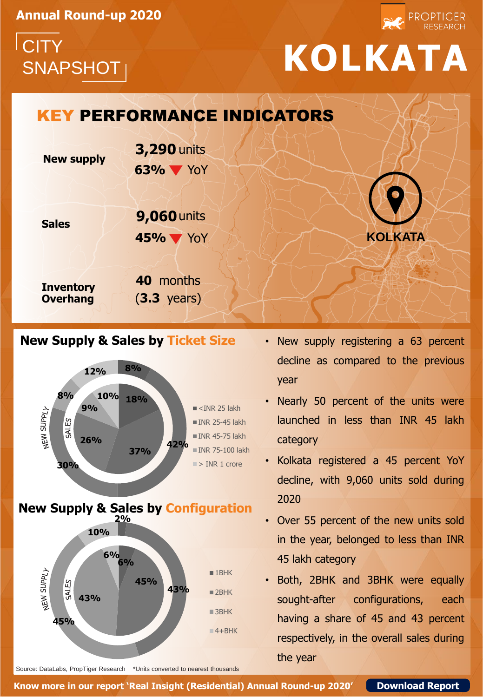**Annual Round-up 2020**



## SNAPSHOT **KOLKATA**

PROPTIGER

### **New supply Sales Inventory Overhang 63%** YoY KEY PERFORMANCE INDICATORS **40** months (**3.3** years) **3,290** units **45%** YoY **9,060** units **KOLKATA**

#### **New Supply & Sales by Ticket Size**



- New supply registering a 63 percent decline as compared to the previous year
- Nearly 50 percent of the units were launched in less than INR 45 lakh category
- Kolkata registered a 45 percent YoY decline, with 9,060 units sold during 2020
- Over 55 percent of the new units sold in the year, belonged to less than INR 45 lakh category
- Both, 2BHK and 3BHK were equally sought-after configurations, each having a share of 45 and 43 percent respectively, in the overall sales during the year

Source: DataLabs, PropTiger Research \*Units converted to nearest thousands